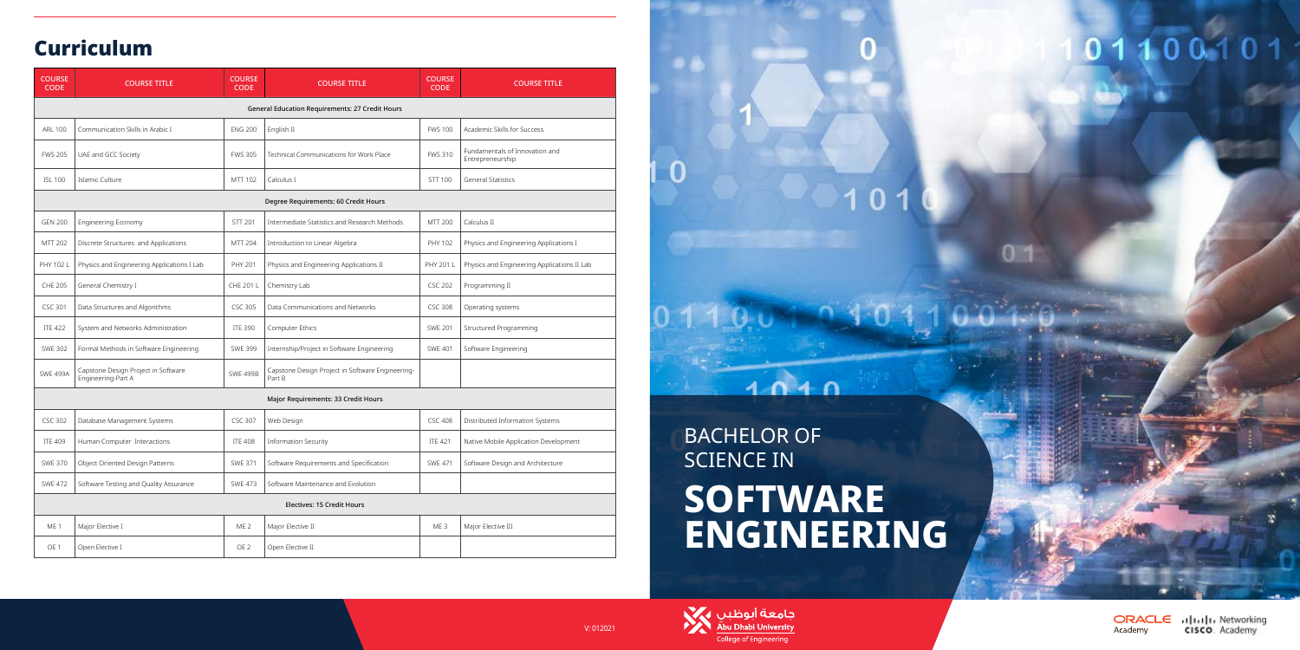### Curriculum

| <b>COURSE</b><br><b>CODE</b>                    | <b>COURSE TITLE</b>                                       | <b>COURSE</b><br><b>CODE</b> | <b>COURSE TITLE</b>                                        | <b>COURSE</b><br><b>CODE</b> | <b>COURSE TITLE</b>                                |
|-------------------------------------------------|-----------------------------------------------------------|------------------------------|------------------------------------------------------------|------------------------------|----------------------------------------------------|
| General Education Requirements: 27 Credit Hours |                                                           |                              |                                                            |                              |                                                    |
| <b>ARL 100</b>                                  | Communication Skills in Arabic I                          | <b>ENG 200</b>               | English II                                                 | <b>FWS 100</b>               | Academic Skills for Success                        |
| <b>FWS 205</b>                                  | UAE and GCC Society                                       | <b>FWS 305</b>               | Technical Communications for Work Place                    | <b>FWS 310</b>               | Fundamentals of Innovation and<br>Entrepreneurship |
| <b>ISL 100</b>                                  | Islamic Culture                                           | MTT 102                      | Calculus I                                                 | STT 100                      | <b>General Statistics</b>                          |
| Degree Requirements: 60 Credit Hours            |                                                           |                              |                                                            |                              |                                                    |
| <b>GEN 200</b>                                  | Engineering Economy                                       | STT 201                      | Intermediate Statistics and Research Methods               | MTT 200                      | Calculus II                                        |
| MTT 202                                         | Discrete Structures and Applications                      | MTT 204                      | Introduction to Linear Algebra                             | PHY 102                      | Physics and Engineering Applications I             |
| PHY 102 L                                       | Physics and Engineering Applications I Lab                | PHY 201                      | Physics and Engineering Applications II                    | PHY 201 L                    | Physics and Engineering Applications II Lab        |
| <b>CHE 205</b>                                  | General Chemistry I                                       | CHE 201 L                    | Chemistry Lab                                              | <b>CSC 202</b>               | Programming II                                     |
| CSC 301                                         | Data Structures and Algorithms                            | <b>CSC 305</b>               | Data Communications and Networks                           | <b>CSC 308</b>               | Operating systems                                  |
| <b>ITE 422</b>                                  | System and Networks Administration                        | <b>ITE 390</b>               | Computer Ethics                                            | <b>SWE 201</b>               | Structured Programming                             |
| <b>SWE 302</b>                                  | Formal Methods in Software Engineering                    | <b>SWE 399</b>               | Internship/Project in Software Engineering                 | <b>SWE 401</b>               | Software Engineering                               |
| <b>SWE 499A</b>                                 | Capstone Design Project in Software<br>Engineering-Part A | <b>SWE 499B</b>              | Capstone Design Project in Software Engineering-<br>Part B |                              |                                                    |
| Major Requirements: 33 Credit Hours             |                                                           |                              |                                                            |                              |                                                    |
| <b>CSC 302</b>                                  | Database Management Systems                               | <b>CSC 307</b>               | Web Design                                                 | <b>CSC 408</b>               | Distributed Information Systems                    |
| <b>ITE 409</b>                                  | Human Computer Interactions                               | <b>ITE 408</b>               | <b>Information Security</b>                                | <b>ITE 421</b>               | Native Mobile Application Development              |
| <b>SWE 370</b>                                  | Object Oriented Design Patterns                           | <b>SWE 371</b>               | Software Requirements and Specification                    | <b>SWE 471</b>               | Software Design and Architecture                   |
| <b>SWE 472</b>                                  | Software Testing and Quality Assurance                    | <b>SWE 473</b>               | Software Maintenance and Evolution                         |                              |                                                    |
| <b>Electives: 15 Credit Hours</b>               |                                                           |                              |                                                            |                              |                                                    |
| ME <sub>1</sub>                                 | Major Elective I                                          | ME <sub>2</sub>              | Major Elective II                                          | ME <sub>3</sub>              | Major Elective III                                 |
| OE <sub>1</sub>                                 | Open Elective I                                           | OE <sub>2</sub>              | Open Elective II                                           |                              |                                                    |



BACHELOR OF SCIENCE IN **SOFTWARE ENGINEERING**

 $1010$ 

101

 $0<sup>th</sup>$ 



N

ORACLE alpala Networking **CISCO**. Academy Academy